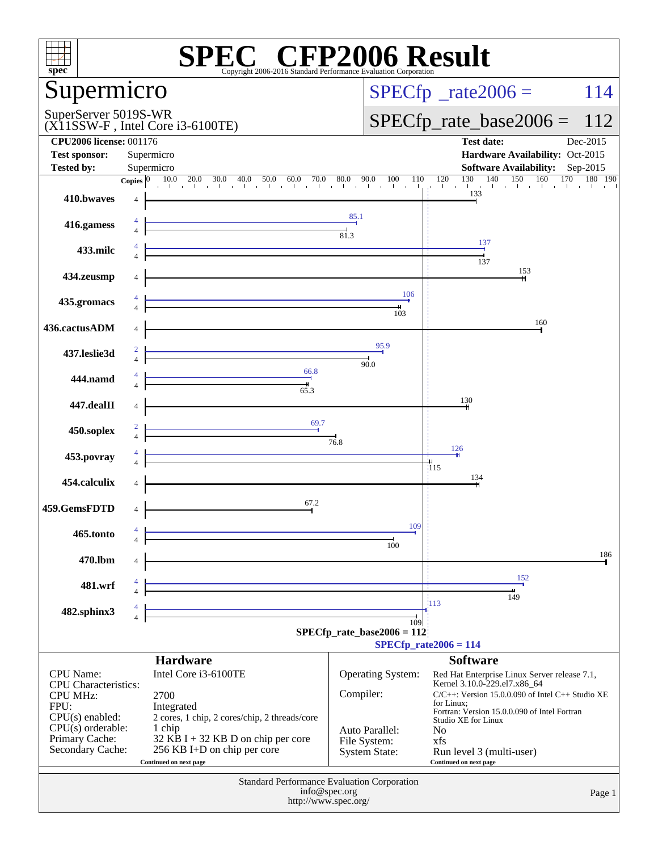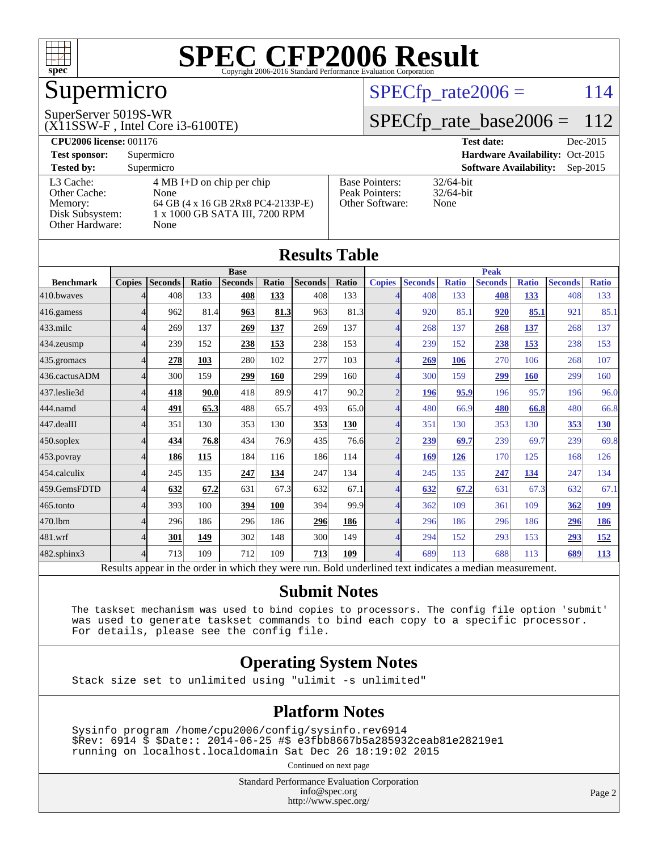

# Supermicro

#### SuperServer 5019S-WR

(X11SSW-F , Intel Core i3-6100TE)

#### $SPECTp_rate2006 = 114$

#### [SPECfp\\_rate\\_base2006 =](http://www.spec.org/auto/cpu2006/Docs/result-fields.html#SPECfpratebase2006) 112

| <b>CPU2006 license: 001176</b> |                                     |                       | Dec-2015<br><b>Test date:</b>               |
|--------------------------------|-------------------------------------|-----------------------|---------------------------------------------|
| <b>Test sponsor:</b>           | Supermicro                          |                       | Hardware Availability: Oct-2015             |
| <b>Tested by:</b>              | Supermicro                          |                       | <b>Software Availability:</b><br>$Sep-2015$ |
| L3 Cache:                      | $4 \text{ MB I+D}$ on chip per chip | <b>Base Pointers:</b> | $32/64$ -bit                                |
| Other Cache:                   | None                                | Peak Pointers:        | $32/64$ -bit                                |
| Memory:                        | 64 GB (4 x 16 GB 2Rx8 PC4-2133P-E)  | Other Software:       | None                                        |
| Disk Subsystem:                | 1 x 1000 GB SATA III, 7200 RPM      |                       |                                             |
| Other Hardware:                | None                                |                       |                                             |

|                  |               |                 |              |                |       | Results Tadie    |              |                        |                             |              |                |              |                |              |
|------------------|---------------|-----------------|--------------|----------------|-------|------------------|--------------|------------------------|-----------------------------|--------------|----------------|--------------|----------------|--------------|
|                  |               |                 |              | <b>Base</b>    |       |                  |              | <b>Peak</b>            |                             |              |                |              |                |              |
| <b>Benchmark</b> | <b>Copies</b> | <b>Seconds</b>  | Ratio        | <b>Seconds</b> | Ratio | <b>Seconds</b>   | <b>Ratio</b> | <b>Copies</b>          | <b>Seconds</b>              | <b>Ratio</b> | <b>Seconds</b> | <b>Ratio</b> | <b>Seconds</b> | <b>Ratio</b> |
| 410.bwayes       |               | 408             | 133          | 408            | 133   | 408              | 133          |                        | 408                         | 133          | 408            | 133          | 408            | 133          |
| 416.gamess       | 4             | 962             | 81.4         | 963            | 81.3  | 963              | 81.3         |                        | 920                         | 85.1         | 920            | 85.1         | 921            | 85.1         |
| $433$ .milc      | 4             | 269             | 137          | 269            | 137   | 269              | 137          | 4                      | 268                         | 137          | 268            | 137          | 268            | 137          |
| $434$ . zeusmp   | 4             | 239             | 152          | 238            | 153   | 238              | 153          |                        | 239                         | 152          | 238            | 153          | 238            | 153          |
| 435.gromacs      |               | 278             | 103          | 280            | 102   | 277              | 103          |                        | 269                         | 106          | 270            | 106          | 268            | 107          |
| 436.cactusADM    |               | 300             | 159          | 299            | 160   | 299              | 160          |                        | 300                         | 159          | 299            | 160          | 299            | 160          |
| 437.leslie3d     |               | 418             | 90.0         | 418            | 89.9  | 417              | 90.2         | $\mathfrak{D}$         | 196                         | 95.9         | 196            | 95.7         | 196            | 96.0         |
| 444.namd         |               | 491             | 65.3         | 488            | 65.7  | 493              | 65.0         |                        | 480                         | 66.9         | 480            | 66.8         | 480            | 66.8         |
| 447.dealII       | Δ             | 351             | 130          | 353            | 130   | 353              | 130          |                        | 351                         | 130          | 353            | 130          | 353            | 130          |
| 450.soplex       | 4             | 434             | 76.8         | 434            | 76.9  | 435              | 76.6         | $\overline{2}$         | 239                         | 69.7         | 239            | 69.7         | 239            | 69.8         |
| 453.povray       | 4             | 186             | 115          | 184            | 116   | 186              | 114          | 4                      | 169                         | 126          | 170            | 125          | 168            | 126          |
| 454.calculix     |               | 245             | 135          | 247            | 134   | 247              | 134          |                        | 245                         | 135          | 247            | 134          | 247            | 134          |
| 459.GemsFDTD     |               | 632             | 67.2         | 631            | 67.3  | 632              | 67.1         |                        | 632                         | 67.2         | 631            | 67.3         | 632            | 67.1         |
| 465.tonto        |               | 393             | 100          | 394            | 100   | 394              | 99.9         |                        | 362                         | 109          | 361            | 109          | 362            | 109          |
| 470.1bm          |               | 296             | 186          | 296            | 186   | 296              | 186          |                        | 296                         | 186          | 296            | 186          | 296            | 186          |
| 481.wrf          |               | 301             | 149          | 302            | 148   | 300              | 149          |                        | 294                         | 152          | 293            | 153          | 293            | <u>152</u>   |
| 482.sphinx3      |               | 713             | 109          | 712            | 109   | $\overline{213}$ | <b>109</b>   |                        | 689                         | 113          | 688            | 113          | 689            | 113          |
| $\mathbf{r}$     | $\mathbf{1}$  | $\cdot$ $\cdot$ | $\mathbf{I}$ | 1.1.1          |       |                  | $T = 1.1$    | 1.11<br>$\blacksquare$ | $\sim$ $\sim$ $\sim$ $\sim$ |              | $\cdot$        |              |                |              |

Results appear in the [order in which they were run.](http://www.spec.org/auto/cpu2006/Docs/result-fields.html#RunOrder) Bold underlined text [indicates a median measurement.](http://www.spec.org/auto/cpu2006/Docs/result-fields.html#Median)

#### **[Submit Notes](http://www.spec.org/auto/cpu2006/Docs/result-fields.html#SubmitNotes)**

 The taskset mechanism was used to bind copies to processors. The config file option 'submit' was used to generate taskset commands to bind each copy to a specific processor. For details, please see the config file.

#### **[Operating System Notes](http://www.spec.org/auto/cpu2006/Docs/result-fields.html#OperatingSystemNotes)**

Stack size set to unlimited using "ulimit -s unlimited"

#### **[Platform Notes](http://www.spec.org/auto/cpu2006/Docs/result-fields.html#PlatformNotes)**

 Sysinfo program /home/cpu2006/config/sysinfo.rev6914 \$Rev: 6914 \$ \$Date:: 2014-06-25 #\$ e3fbb8667b5a285932ceab81e28219e1 running on localhost.localdomain Sat Dec 26 18:19:02 2015

Continued on next page

Standard Performance Evaluation Corporation [info@spec.org](mailto:info@spec.org) <http://www.spec.org/>

Page 2

#### **[Results Table](http://www.spec.org/auto/cpu2006/Docs/result-fields.html#ResultsTable)**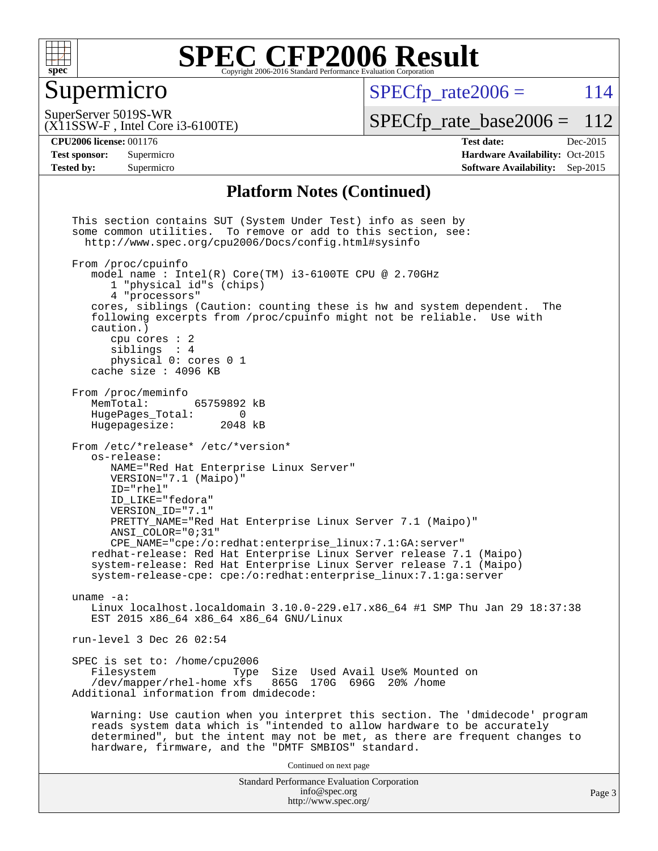

### Supermicro

 $SPECTp\_rate2006 = 114$ 

(X11SSW-F , Intel Core i3-6100TE) SuperServer 5019S-WR

[SPECfp\\_rate\\_base2006 =](http://www.spec.org/auto/cpu2006/Docs/result-fields.html#SPECfpratebase2006) 112

**[Tested by:](http://www.spec.org/auto/cpu2006/Docs/result-fields.html#Testedby)** Supermicro **Supermicro [Software Availability:](http://www.spec.org/auto/cpu2006/Docs/result-fields.html#SoftwareAvailability)** Sep-2015

**[CPU2006 license:](http://www.spec.org/auto/cpu2006/Docs/result-fields.html#CPU2006license)** 001176 **[Test date:](http://www.spec.org/auto/cpu2006/Docs/result-fields.html#Testdate)** Dec-2015 **[Test sponsor:](http://www.spec.org/auto/cpu2006/Docs/result-fields.html#Testsponsor)** Supermicro Supermicro **[Hardware Availability:](http://www.spec.org/auto/cpu2006/Docs/result-fields.html#HardwareAvailability)** Oct-2015

#### **[Platform Notes \(Continued\)](http://www.spec.org/auto/cpu2006/Docs/result-fields.html#PlatformNotes)**

Standard Performance Evaluation Corporation [info@spec.org](mailto:info@spec.org) <http://www.spec.org/> This section contains SUT (System Under Test) info as seen by some common utilities. To remove or add to this section, see: <http://www.spec.org/cpu2006/Docs/config.html#sysinfo> From /proc/cpuinfo model name : Intel(R) Core(TM) i3-6100TE CPU @ 2.70GHz 1 "physical id"s (chips) 4 "processors" cores, siblings (Caution: counting these is hw and system dependent. The following excerpts from /proc/cpuinfo might not be reliable. Use with caution.) cpu cores : 2 siblings : 4 physical 0: cores 0 1 cache size : 4096 KB From /proc/meminfo MemTotal: 65759892 kB<br>HugePages Total: 0 HugePages\_Total: 0<br>Hugepagesize: 2048 kB Hugepagesize: From /etc/\*release\* /etc/\*version\* os-release: NAME="Red Hat Enterprise Linux Server" VERSION="7.1 (Maipo)" ID="rhel" ID\_LIKE="fedora" VERSION\_ID="7.1" PRETTY\_NAME="Red Hat Enterprise Linux Server 7.1 (Maipo)" ANSI\_COLOR="0;31" CPE\_NAME="cpe:/o:redhat:enterprise\_linux:7.1:GA:server" redhat-release: Red Hat Enterprise Linux Server release 7.1 (Maipo) system-release: Red Hat Enterprise Linux Server release 7.1 (Maipo) system-release-cpe: cpe:/o:redhat:enterprise\_linux:7.1:ga:server uname -a: Linux localhost.localdomain 3.10.0-229.el7.x86\_64 #1 SMP Thu Jan 29 18:37:38 EST 2015 x86\_64 x86\_64 x86\_64 GNU/Linux run-level 3 Dec 26 02:54 SPEC is set to: /home/cpu2006<br>Filesystem Type Type Size Used Avail Use% Mounted on /dev/mapper/rhel-home xfs 865G 170G 696G 20% /home Additional information from dmidecode: Warning: Use caution when you interpret this section. The 'dmidecode' program reads system data which is "intended to allow hardware to be accurately determined", but the intent may not be met, as there are frequent changes to hardware, firmware, and the "DMTF SMBIOS" standard. Continued on next page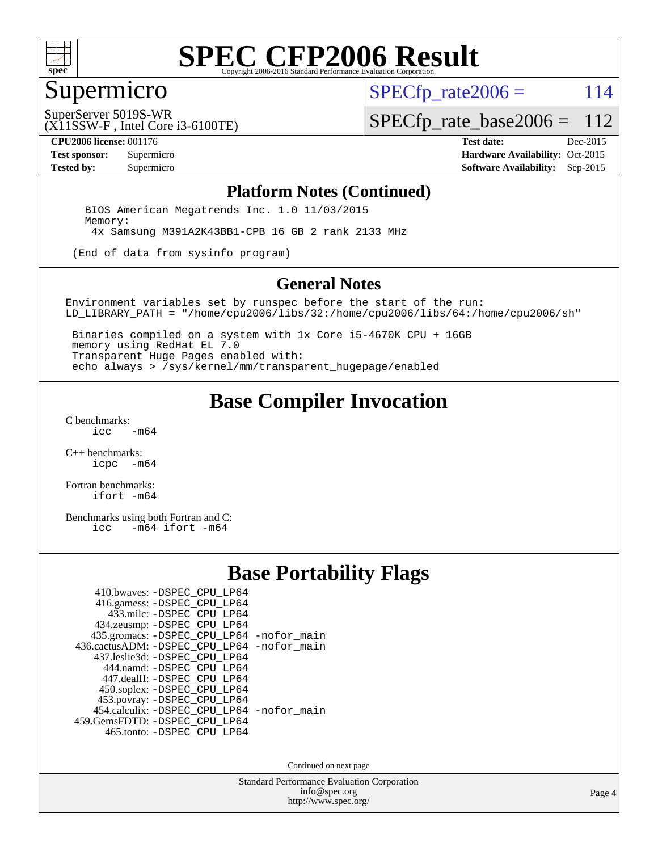

## Supermicro

 $SPECTp\_rate2006 = 114$ 

(X11SSW-F , Intel Core i3-6100TE) SuperServer 5019S-WR

[SPECfp\\_rate\\_base2006 =](http://www.spec.org/auto/cpu2006/Docs/result-fields.html#SPECfpratebase2006) 112

**[CPU2006 license:](http://www.spec.org/auto/cpu2006/Docs/result-fields.html#CPU2006license)** 001176 **[Test date:](http://www.spec.org/auto/cpu2006/Docs/result-fields.html#Testdate)** Dec-2015 **[Test sponsor:](http://www.spec.org/auto/cpu2006/Docs/result-fields.html#Testsponsor)** Supermicro Supermicro **[Hardware Availability:](http://www.spec.org/auto/cpu2006/Docs/result-fields.html#HardwareAvailability)** Oct-2015 **[Tested by:](http://www.spec.org/auto/cpu2006/Docs/result-fields.html#Testedby)** Supermicro **Supermicro [Software Availability:](http://www.spec.org/auto/cpu2006/Docs/result-fields.html#SoftwareAvailability)** Sep-2015

#### **[Platform Notes \(Continued\)](http://www.spec.org/auto/cpu2006/Docs/result-fields.html#PlatformNotes)**

 BIOS American Megatrends Inc. 1.0 11/03/2015 Memory: 4x Samsung M391A2K43BB1-CPB 16 GB 2 rank 2133 MHz

(End of data from sysinfo program)

#### **[General Notes](http://www.spec.org/auto/cpu2006/Docs/result-fields.html#GeneralNotes)**

Environment variables set by runspec before the start of the run: LD\_LIBRARY\_PATH = "/home/cpu2006/libs/32:/home/cpu2006/libs/64:/home/cpu2006/sh"

 Binaries compiled on a system with 1x Core i5-4670K CPU + 16GB memory using RedHat EL 7.0 Transparent Huge Pages enabled with: echo always > /sys/kernel/mm/transparent\_hugepage/enabled

### **[Base Compiler Invocation](http://www.spec.org/auto/cpu2006/Docs/result-fields.html#BaseCompilerInvocation)**

[C benchmarks](http://www.spec.org/auto/cpu2006/Docs/result-fields.html#Cbenchmarks):  $-m64$ 

[C++ benchmarks:](http://www.spec.org/auto/cpu2006/Docs/result-fields.html#CXXbenchmarks) [icpc -m64](http://www.spec.org/cpu2006/results/res2016q1/cpu2006-20160106-38569.flags.html#user_CXXbase_intel_icpc_64bit_bedb90c1146cab66620883ef4f41a67e)

[Fortran benchmarks](http://www.spec.org/auto/cpu2006/Docs/result-fields.html#Fortranbenchmarks): [ifort -m64](http://www.spec.org/cpu2006/results/res2016q1/cpu2006-20160106-38569.flags.html#user_FCbase_intel_ifort_64bit_ee9d0fb25645d0210d97eb0527dcc06e)

[Benchmarks using both Fortran and C](http://www.spec.org/auto/cpu2006/Docs/result-fields.html#BenchmarksusingbothFortranandC):<br>icc -m64 ifort -m64  $-m64$  ifort  $-m64$ 

#### **[Base Portability Flags](http://www.spec.org/auto/cpu2006/Docs/result-fields.html#BasePortabilityFlags)**

| 410.bwaves: -DSPEC_CPU_LP64                |  |
|--------------------------------------------|--|
| 416.gamess: -DSPEC_CPU_LP64                |  |
| 433.milc: -DSPEC CPU LP64                  |  |
| 434.zeusmp: -DSPEC_CPU_LP64                |  |
| 435.gromacs: -DSPEC_CPU_LP64 -nofor_main   |  |
| 436.cactusADM: -DSPEC CPU LP64 -nofor main |  |
| 437.leslie3d: -DSPEC CPU LP64              |  |
| 444.namd: -DSPEC CPU LP64                  |  |
| 447.dealII: -DSPEC_CPU_LP64                |  |
| 450.soplex: -DSPEC_CPU_LP64                |  |
| 453.povray: -DSPEC_CPU_LP64                |  |
| 454.calculix: -DSPEC CPU LP64 -nofor main  |  |
| 459.GemsFDTD: -DSPEC_CPU_LP64              |  |
| 465.tonto: - DSPEC CPU LP64                |  |

Continued on next page

Standard Performance Evaluation Corporation [info@spec.org](mailto:info@spec.org) <http://www.spec.org/>

Page 4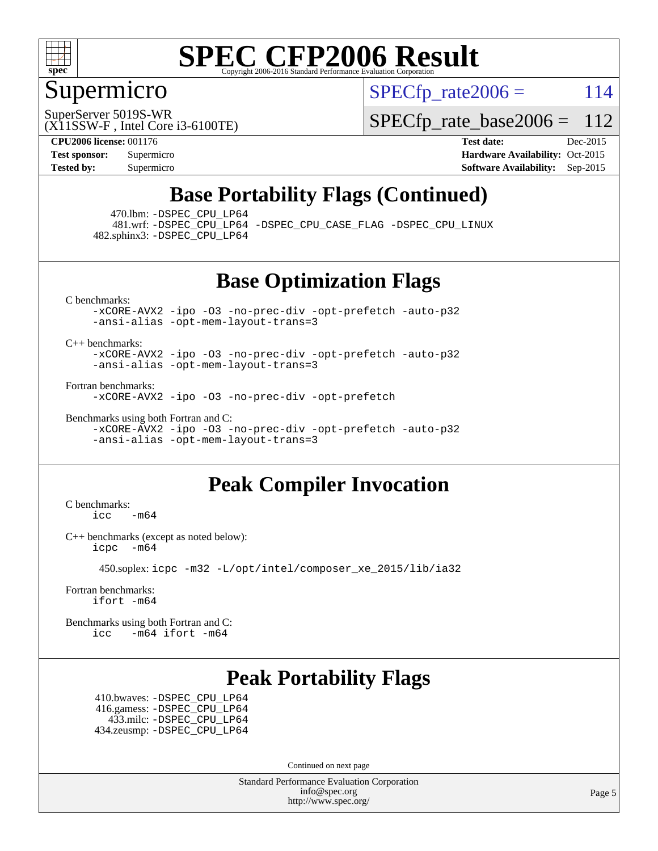

### Supermicro

 $SPECTp\_rate2006 = 114$ 

SuperServer 5019S-WR

(X11SSW-F , Intel Core i3-6100TE)

[SPECfp\\_rate\\_base2006 =](http://www.spec.org/auto/cpu2006/Docs/result-fields.html#SPECfpratebase2006) 112

**[CPU2006 license:](http://www.spec.org/auto/cpu2006/Docs/result-fields.html#CPU2006license)** 001176 **[Test date:](http://www.spec.org/auto/cpu2006/Docs/result-fields.html#Testdate)** Dec-2015 **[Test sponsor:](http://www.spec.org/auto/cpu2006/Docs/result-fields.html#Testsponsor)** Supermicro Supermicro **[Hardware Availability:](http://www.spec.org/auto/cpu2006/Docs/result-fields.html#HardwareAvailability)** Oct-2015 **[Tested by:](http://www.spec.org/auto/cpu2006/Docs/result-fields.html#Testedby)** Supermicro **Supermicro [Software Availability:](http://www.spec.org/auto/cpu2006/Docs/result-fields.html#SoftwareAvailability)** Sep-2015

### **[Base Portability Flags \(Continued\)](http://www.spec.org/auto/cpu2006/Docs/result-fields.html#BasePortabilityFlags)**

470.lbm: [-DSPEC\\_CPU\\_LP64](http://www.spec.org/cpu2006/results/res2016q1/cpu2006-20160106-38569.flags.html#suite_basePORTABILITY470_lbm_DSPEC_CPU_LP64)

 481.wrf: [-DSPEC\\_CPU\\_LP64](http://www.spec.org/cpu2006/results/res2016q1/cpu2006-20160106-38569.flags.html#suite_basePORTABILITY481_wrf_DSPEC_CPU_LP64) [-DSPEC\\_CPU\\_CASE\\_FLAG](http://www.spec.org/cpu2006/results/res2016q1/cpu2006-20160106-38569.flags.html#b481.wrf_baseCPORTABILITY_DSPEC_CPU_CASE_FLAG) [-DSPEC\\_CPU\\_LINUX](http://www.spec.org/cpu2006/results/res2016q1/cpu2006-20160106-38569.flags.html#b481.wrf_baseCPORTABILITY_DSPEC_CPU_LINUX) 482.sphinx3: [-DSPEC\\_CPU\\_LP64](http://www.spec.org/cpu2006/results/res2016q1/cpu2006-20160106-38569.flags.html#suite_basePORTABILITY482_sphinx3_DSPEC_CPU_LP64)

**[Base Optimization Flags](http://www.spec.org/auto/cpu2006/Docs/result-fields.html#BaseOptimizationFlags)**

[C benchmarks](http://www.spec.org/auto/cpu2006/Docs/result-fields.html#Cbenchmarks):

[-xCORE-AVX2](http://www.spec.org/cpu2006/results/res2016q1/cpu2006-20160106-38569.flags.html#user_CCbase_f-xAVX2_5f5fc0cbe2c9f62c816d3e45806c70d7) [-ipo](http://www.spec.org/cpu2006/results/res2016q1/cpu2006-20160106-38569.flags.html#user_CCbase_f-ipo) [-O3](http://www.spec.org/cpu2006/results/res2016q1/cpu2006-20160106-38569.flags.html#user_CCbase_f-O3) [-no-prec-div](http://www.spec.org/cpu2006/results/res2016q1/cpu2006-20160106-38569.flags.html#user_CCbase_f-no-prec-div) [-opt-prefetch](http://www.spec.org/cpu2006/results/res2016q1/cpu2006-20160106-38569.flags.html#user_CCbase_f-opt-prefetch) [-auto-p32](http://www.spec.org/cpu2006/results/res2016q1/cpu2006-20160106-38569.flags.html#user_CCbase_f-auto-p32) [-ansi-alias](http://www.spec.org/cpu2006/results/res2016q1/cpu2006-20160106-38569.flags.html#user_CCbase_f-ansi-alias) [-opt-mem-layout-trans=3](http://www.spec.org/cpu2006/results/res2016q1/cpu2006-20160106-38569.flags.html#user_CCbase_f-opt-mem-layout-trans_a7b82ad4bd7abf52556d4961a2ae94d5)

[C++ benchmarks:](http://www.spec.org/auto/cpu2006/Docs/result-fields.html#CXXbenchmarks)

[-xCORE-AVX2](http://www.spec.org/cpu2006/results/res2016q1/cpu2006-20160106-38569.flags.html#user_CXXbase_f-xAVX2_5f5fc0cbe2c9f62c816d3e45806c70d7) [-ipo](http://www.spec.org/cpu2006/results/res2016q1/cpu2006-20160106-38569.flags.html#user_CXXbase_f-ipo) [-O3](http://www.spec.org/cpu2006/results/res2016q1/cpu2006-20160106-38569.flags.html#user_CXXbase_f-O3) [-no-prec-div](http://www.spec.org/cpu2006/results/res2016q1/cpu2006-20160106-38569.flags.html#user_CXXbase_f-no-prec-div) [-opt-prefetch](http://www.spec.org/cpu2006/results/res2016q1/cpu2006-20160106-38569.flags.html#user_CXXbase_f-opt-prefetch) [-auto-p32](http://www.spec.org/cpu2006/results/res2016q1/cpu2006-20160106-38569.flags.html#user_CXXbase_f-auto-p32) [-ansi-alias](http://www.spec.org/cpu2006/results/res2016q1/cpu2006-20160106-38569.flags.html#user_CXXbase_f-ansi-alias) [-opt-mem-layout-trans=3](http://www.spec.org/cpu2006/results/res2016q1/cpu2006-20160106-38569.flags.html#user_CXXbase_f-opt-mem-layout-trans_a7b82ad4bd7abf52556d4961a2ae94d5)

[Fortran benchmarks](http://www.spec.org/auto/cpu2006/Docs/result-fields.html#Fortranbenchmarks):

[-xCORE-AVX2](http://www.spec.org/cpu2006/results/res2016q1/cpu2006-20160106-38569.flags.html#user_FCbase_f-xAVX2_5f5fc0cbe2c9f62c816d3e45806c70d7) [-ipo](http://www.spec.org/cpu2006/results/res2016q1/cpu2006-20160106-38569.flags.html#user_FCbase_f-ipo) [-O3](http://www.spec.org/cpu2006/results/res2016q1/cpu2006-20160106-38569.flags.html#user_FCbase_f-O3) [-no-prec-div](http://www.spec.org/cpu2006/results/res2016q1/cpu2006-20160106-38569.flags.html#user_FCbase_f-no-prec-div) [-opt-prefetch](http://www.spec.org/cpu2006/results/res2016q1/cpu2006-20160106-38569.flags.html#user_FCbase_f-opt-prefetch)

[Benchmarks using both Fortran and C](http://www.spec.org/auto/cpu2006/Docs/result-fields.html#BenchmarksusingbothFortranandC): [-xCORE-AVX2](http://www.spec.org/cpu2006/results/res2016q1/cpu2006-20160106-38569.flags.html#user_CC_FCbase_f-xAVX2_5f5fc0cbe2c9f62c816d3e45806c70d7) [-ipo](http://www.spec.org/cpu2006/results/res2016q1/cpu2006-20160106-38569.flags.html#user_CC_FCbase_f-ipo) [-O3](http://www.spec.org/cpu2006/results/res2016q1/cpu2006-20160106-38569.flags.html#user_CC_FCbase_f-O3) [-no-prec-div](http://www.spec.org/cpu2006/results/res2016q1/cpu2006-20160106-38569.flags.html#user_CC_FCbase_f-no-prec-div) [-opt-prefetch](http://www.spec.org/cpu2006/results/res2016q1/cpu2006-20160106-38569.flags.html#user_CC_FCbase_f-opt-prefetch) [-auto-p32](http://www.spec.org/cpu2006/results/res2016q1/cpu2006-20160106-38569.flags.html#user_CC_FCbase_f-auto-p32) [-ansi-alias](http://www.spec.org/cpu2006/results/res2016q1/cpu2006-20160106-38569.flags.html#user_CC_FCbase_f-ansi-alias) [-opt-mem-layout-trans=3](http://www.spec.org/cpu2006/results/res2016q1/cpu2006-20160106-38569.flags.html#user_CC_FCbase_f-opt-mem-layout-trans_a7b82ad4bd7abf52556d4961a2ae94d5)

### **[Peak Compiler Invocation](http://www.spec.org/auto/cpu2006/Docs/result-fields.html#PeakCompilerInvocation)**

[C benchmarks](http://www.spec.org/auto/cpu2006/Docs/result-fields.html#Cbenchmarks):  $\text{icc}$  -m64

[C++ benchmarks \(except as noted below\):](http://www.spec.org/auto/cpu2006/Docs/result-fields.html#CXXbenchmarksexceptasnotedbelow) [icpc -m64](http://www.spec.org/cpu2006/results/res2016q1/cpu2006-20160106-38569.flags.html#user_CXXpeak_intel_icpc_64bit_bedb90c1146cab66620883ef4f41a67e)

450.soplex: [icpc -m32 -L/opt/intel/composer\\_xe\\_2015/lib/ia32](http://www.spec.org/cpu2006/results/res2016q1/cpu2006-20160106-38569.flags.html#user_peakCXXLD450_soplex_intel_icpc_c2c99686a1a582c3e0de0b4806b02cea)

[Fortran benchmarks](http://www.spec.org/auto/cpu2006/Docs/result-fields.html#Fortranbenchmarks): [ifort -m64](http://www.spec.org/cpu2006/results/res2016q1/cpu2006-20160106-38569.flags.html#user_FCpeak_intel_ifort_64bit_ee9d0fb25645d0210d97eb0527dcc06e)

[Benchmarks using both Fortran and C](http://www.spec.org/auto/cpu2006/Docs/result-fields.html#BenchmarksusingbothFortranandC): [icc -m64](http://www.spec.org/cpu2006/results/res2016q1/cpu2006-20160106-38569.flags.html#user_CC_FCpeak_intel_icc_64bit_0b7121f5ab7cfabee23d88897260401c) [ifort -m64](http://www.spec.org/cpu2006/results/res2016q1/cpu2006-20160106-38569.flags.html#user_CC_FCpeak_intel_ifort_64bit_ee9d0fb25645d0210d97eb0527dcc06e)

### **[Peak Portability Flags](http://www.spec.org/auto/cpu2006/Docs/result-fields.html#PeakPortabilityFlags)**

 410.bwaves: [-DSPEC\\_CPU\\_LP64](http://www.spec.org/cpu2006/results/res2016q1/cpu2006-20160106-38569.flags.html#suite_peakPORTABILITY410_bwaves_DSPEC_CPU_LP64) 416.gamess: [-DSPEC\\_CPU\\_LP64](http://www.spec.org/cpu2006/results/res2016q1/cpu2006-20160106-38569.flags.html#suite_peakPORTABILITY416_gamess_DSPEC_CPU_LP64) 433.milc: [-DSPEC\\_CPU\\_LP64](http://www.spec.org/cpu2006/results/res2016q1/cpu2006-20160106-38569.flags.html#suite_peakPORTABILITY433_milc_DSPEC_CPU_LP64) 434.zeusmp: [-DSPEC\\_CPU\\_LP64](http://www.spec.org/cpu2006/results/res2016q1/cpu2006-20160106-38569.flags.html#suite_peakPORTABILITY434_zeusmp_DSPEC_CPU_LP64)

Continued on next page

Standard Performance Evaluation Corporation [info@spec.org](mailto:info@spec.org) <http://www.spec.org/>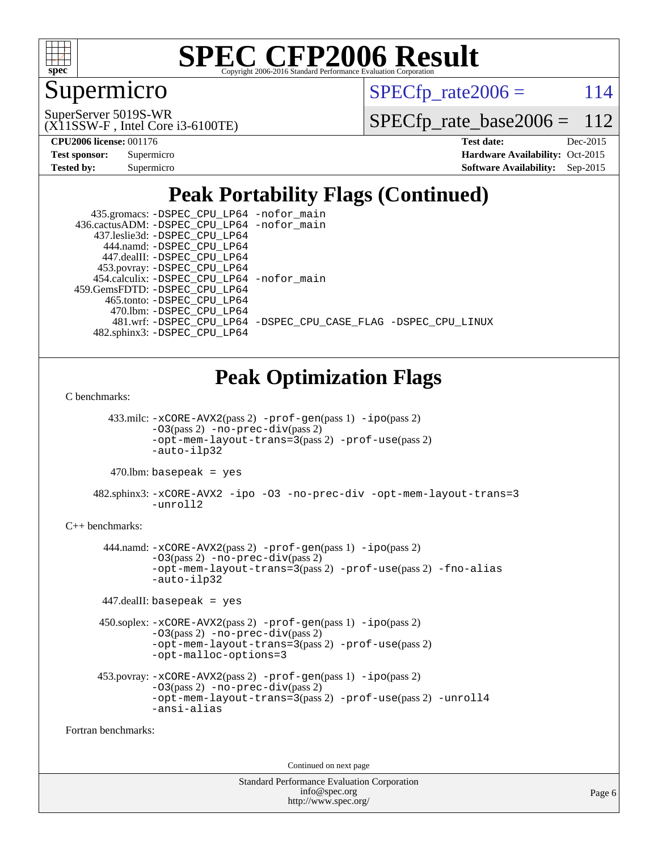

### Supermicro

 $SPECTp\_rate2006 = 114$ 

(X11SSW-F , Intel Core i3-6100TE) SuperServer 5019S-WR

[SPECfp\\_rate\\_base2006 =](http://www.spec.org/auto/cpu2006/Docs/result-fields.html#SPECfpratebase2006) 112

| <b>Test sponsor:</b> | Supermicro |
|----------------------|------------|
| <b>Tested by:</b>    | Supermicro |

**[CPU2006 license:](http://www.spec.org/auto/cpu2006/Docs/result-fields.html#CPU2006license)** 001176 **[Test date:](http://www.spec.org/auto/cpu2006/Docs/result-fields.html#Testdate)** Dec-2015 **[Hardware Availability:](http://www.spec.org/auto/cpu2006/Docs/result-fields.html#HardwareAvailability)** Oct-2015 **[Software Availability:](http://www.spec.org/auto/cpu2006/Docs/result-fields.html#SoftwareAvailability)** Sep-2015

# **[Peak Portability Flags \(Continued\)](http://www.spec.org/auto/cpu2006/Docs/result-fields.html#PeakPortabilityFlags)**

| 435.gromacs: -DSPEC_CPU_LP64 -nofor_main    |                                                                |
|---------------------------------------------|----------------------------------------------------------------|
| 436.cactusADM: -DSPEC CPU LP64 -nofor main  |                                                                |
| 437.leslie3d: -DSPEC CPU LP64               |                                                                |
| 444.namd: - DSPEC CPU LP64                  |                                                                |
| 447.dealII: -DSPEC CPU LP64                 |                                                                |
| 453.povray: -DSPEC_CPU_LP64                 |                                                                |
| 454.calculix: - DSPEC CPU LP64 - nofor main |                                                                |
| 459.GemsFDTD: - DSPEC_CPU LP64              |                                                                |
| 465.tonto: -DSPEC CPU LP64                  |                                                                |
| 470.1bm: - DSPEC CPU LP64                   |                                                                |
|                                             | 481.wrf: -DSPEC CPU LP64 -DSPEC CPU CASE FLAG -DSPEC CPU LINUX |
| 482.sphinx3: -DSPEC CPU LP64                |                                                                |

### **[Peak Optimization Flags](http://www.spec.org/auto/cpu2006/Docs/result-fields.html#PeakOptimizationFlags)**

[C benchmarks](http://www.spec.org/auto/cpu2006/Docs/result-fields.html#Cbenchmarks):

 433.milc: [-xCORE-AVX2](http://www.spec.org/cpu2006/results/res2016q1/cpu2006-20160106-38569.flags.html#user_peakPASS2_CFLAGSPASS2_LDFLAGS433_milc_f-xAVX2_5f5fc0cbe2c9f62c816d3e45806c70d7)(pass 2) [-prof-gen](http://www.spec.org/cpu2006/results/res2016q1/cpu2006-20160106-38569.flags.html#user_peakPASS1_CFLAGSPASS1_LDFLAGS433_milc_prof_gen_e43856698f6ca7b7e442dfd80e94a8fc)(pass 1) [-ipo](http://www.spec.org/cpu2006/results/res2016q1/cpu2006-20160106-38569.flags.html#user_peakPASS2_CFLAGSPASS2_LDFLAGS433_milc_f-ipo)(pass 2) [-O3](http://www.spec.org/cpu2006/results/res2016q1/cpu2006-20160106-38569.flags.html#user_peakPASS2_CFLAGSPASS2_LDFLAGS433_milc_f-O3)(pass 2) [-no-prec-div](http://www.spec.org/cpu2006/results/res2016q1/cpu2006-20160106-38569.flags.html#user_peakPASS2_CFLAGSPASS2_LDFLAGS433_milc_f-no-prec-div)(pass 2) [-opt-mem-layout-trans=3](http://www.spec.org/cpu2006/results/res2016q1/cpu2006-20160106-38569.flags.html#user_peakPASS2_CFLAGS433_milc_f-opt-mem-layout-trans_a7b82ad4bd7abf52556d4961a2ae94d5)(pass 2) [-prof-use](http://www.spec.org/cpu2006/results/res2016q1/cpu2006-20160106-38569.flags.html#user_peakPASS2_CFLAGSPASS2_LDFLAGS433_milc_prof_use_bccf7792157ff70d64e32fe3e1250b55)(pass 2) [-auto-ilp32](http://www.spec.org/cpu2006/results/res2016q1/cpu2006-20160106-38569.flags.html#user_peakCOPTIMIZE433_milc_f-auto-ilp32)

 $470.$ lbm: basepeak = yes

 482.sphinx3: [-xCORE-AVX2](http://www.spec.org/cpu2006/results/res2016q1/cpu2006-20160106-38569.flags.html#user_peakOPTIMIZE482_sphinx3_f-xAVX2_5f5fc0cbe2c9f62c816d3e45806c70d7) [-ipo](http://www.spec.org/cpu2006/results/res2016q1/cpu2006-20160106-38569.flags.html#user_peakOPTIMIZE482_sphinx3_f-ipo) [-O3](http://www.spec.org/cpu2006/results/res2016q1/cpu2006-20160106-38569.flags.html#user_peakOPTIMIZE482_sphinx3_f-O3) [-no-prec-div](http://www.spec.org/cpu2006/results/res2016q1/cpu2006-20160106-38569.flags.html#user_peakOPTIMIZE482_sphinx3_f-no-prec-div) [-opt-mem-layout-trans=3](http://www.spec.org/cpu2006/results/res2016q1/cpu2006-20160106-38569.flags.html#user_peakOPTIMIZE482_sphinx3_f-opt-mem-layout-trans_a7b82ad4bd7abf52556d4961a2ae94d5) [-unroll2](http://www.spec.org/cpu2006/results/res2016q1/cpu2006-20160106-38569.flags.html#user_peakCOPTIMIZE482_sphinx3_f-unroll_784dae83bebfb236979b41d2422d7ec2)

#### [C++ benchmarks:](http://www.spec.org/auto/cpu2006/Docs/result-fields.html#CXXbenchmarks)

 444.namd: [-xCORE-AVX2](http://www.spec.org/cpu2006/results/res2016q1/cpu2006-20160106-38569.flags.html#user_peakPASS2_CXXFLAGSPASS2_LDFLAGS444_namd_f-xAVX2_5f5fc0cbe2c9f62c816d3e45806c70d7)(pass 2) [-prof-gen](http://www.spec.org/cpu2006/results/res2016q1/cpu2006-20160106-38569.flags.html#user_peakPASS1_CXXFLAGSPASS1_LDFLAGS444_namd_prof_gen_e43856698f6ca7b7e442dfd80e94a8fc)(pass 1) [-ipo](http://www.spec.org/cpu2006/results/res2016q1/cpu2006-20160106-38569.flags.html#user_peakPASS2_CXXFLAGSPASS2_LDFLAGS444_namd_f-ipo)(pass 2)  $-03$ (pass 2)  $-$ no-prec-div(pass 2) [-opt-mem-layout-trans=3](http://www.spec.org/cpu2006/results/res2016q1/cpu2006-20160106-38569.flags.html#user_peakPASS2_CXXFLAGS444_namd_f-opt-mem-layout-trans_a7b82ad4bd7abf52556d4961a2ae94d5)(pass 2) [-prof-use](http://www.spec.org/cpu2006/results/res2016q1/cpu2006-20160106-38569.flags.html#user_peakPASS2_CXXFLAGSPASS2_LDFLAGS444_namd_prof_use_bccf7792157ff70d64e32fe3e1250b55)(pass 2) [-fno-alias](http://www.spec.org/cpu2006/results/res2016q1/cpu2006-20160106-38569.flags.html#user_peakCXXOPTIMIZE444_namd_f-no-alias_694e77f6c5a51e658e82ccff53a9e63a) [-auto-ilp32](http://www.spec.org/cpu2006/results/res2016q1/cpu2006-20160106-38569.flags.html#user_peakCXXOPTIMIZE444_namd_f-auto-ilp32)

447.dealII: basepeak = yes

```
 450.soplex: -xCORE-AVX2(pass 2) -prof-gen(pass 1) -ipo(pass 2)
-O3(pass 2) -no-prec-div(pass 2)
-opt-mem-layout-trans=3(pass 2) -prof-use(pass 2)
-opt-malloc-options=3
```

```
 453.povray: -xCORE-AVX2(pass 2) -prof-gen(pass 1) -ipo(pass 2)
 -O3(pass 2) -no-prec-div(pass 2)
 -opt-mem-layout-trans=3(pass 2) -prof-use(pass 2) -unroll4
 -ansi-alias
```
[Fortran benchmarks](http://www.spec.org/auto/cpu2006/Docs/result-fields.html#Fortranbenchmarks):

Continued on next page

| <b>Standard Performance Evaluation Corporation</b> |
|----------------------------------------------------|
| info@spec.org                                      |
| http://www.spec.org/                               |